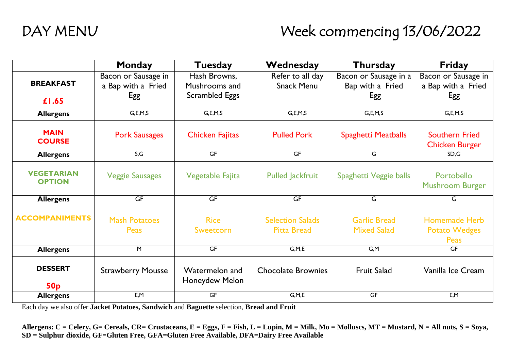# DAY MENU Week commencing 13/06/2022

|                                    | <b>Monday</b>                       | <b>Tuesday</b>                   | Wednesday                                     | <b>Thursday</b>                           | <b>Friday</b>                                        |
|------------------------------------|-------------------------------------|----------------------------------|-----------------------------------------------|-------------------------------------------|------------------------------------------------------|
|                                    | Bacon or Sausage in                 | Hash Browns,                     | Refer to all day                              | Bacon or Sausage in a                     | Bacon or Sausage in                                  |
| <b>BREAKFAST</b>                   | a Bap with a Fried                  | Mushrooms and                    | <b>Snack Menu</b>                             | Bap with a Fried                          | a Bap with a Fried                                   |
| £1.65                              | Egg                                 | <b>Scrambled Eggs</b>            |                                               | Egg                                       | Egg                                                  |
| <b>Allergens</b>                   | G, E, M, S                          | G, E, M, S                       | G, E, M, S                                    | G, E, M, S                                | G, E, M, S                                           |
| <b>MAIN</b><br><b>COURSE</b>       | <b>Pork Sausages</b>                | <b>Chicken Fajitas</b>           | <b>Pulled Pork</b>                            | <b>Spaghetti Meatballs</b>                | <b>Southern Fried</b><br><b>Chicken Burger</b>       |
| <b>Allergens</b>                   | S, G                                | GF                               | GF                                            | G                                         | SD, G                                                |
| <b>VEGETARIAN</b><br><b>OPTION</b> | <b>Veggie Sausages</b>              | Vegetable Fajita                 | <b>Pulled Jackfruit</b>                       | Spaghetti Veggie balls                    | Portobello<br><b>Mushroom Burger</b>                 |
| <b>Allergens</b>                   | GF                                  | GF                               | GF                                            | G                                         | G                                                    |
| <b>ACCOMPANIMENTS</b>              | <b>Mash Potatoes</b><br><b>Peas</b> | <b>Rice</b><br>Sweetcorn         | <b>Selection Salads</b><br><b>Pitta Bread</b> | <b>Garlic Bread</b><br><b>Mixed Salad</b> | <b>Homemade Herb</b><br><b>Potato Wedges</b><br>Peas |
| <b>Allergens</b>                   | M                                   | GF                               | G, M, E                                       | G,M                                       | GF                                                   |
| <b>DESSERT</b><br>50 <sub>p</sub>  | <b>Strawberry Mousse</b>            | Watermelon and<br>Honeydew Melon | <b>Chocolate Brownies</b>                     | <b>Fruit Salad</b>                        | Vanilla Ice Cream                                    |
| <b>Allergens</b>                   | E, M                                | GF                               | G, M, E                                       | GF                                        | E, M                                                 |

Each day we also offer **Jacket Potatoes, Sandwich** and **Baguette** selection, **Bread and Fruit**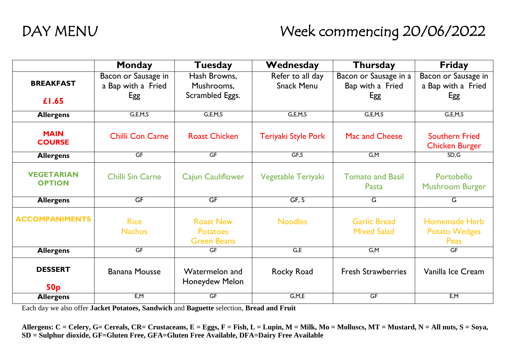# DAY MENU Week commencing 20/06/2022

|                                    | Monday                       | Tuesday                                                   | Wednesday           | <b>Thursday</b>                           | <b>Friday</b>                                        |
|------------------------------------|------------------------------|-----------------------------------------------------------|---------------------|-------------------------------------------|------------------------------------------------------|
|                                    | Bacon or Sausage in          | Hash Browns,                                              | Refer to all day    | Bacon or Sausage in a                     | Bacon or Sausage in                                  |
| <b>BREAKFAST</b>                   | a Bap with a Fried           | Mushrooms,                                                | <b>Snack Menu</b>   | Bap with a Fried                          | a Bap with a Fried                                   |
| £1.65                              | Egg                          | Scrambled Eggs.                                           |                     | Egg                                       | Egg                                                  |
| <b>Allergens</b>                   | G, E, M, S                   | G, E, M, S                                                | G, E, M, S          | G, E, M, S                                | G, E, M, S                                           |
| <b>MAIN</b><br><b>COURSE</b>       | <b>Chilli Con Carne</b>      | <b>Roast Chicken</b>                                      | Teriyaki Style Pork | Mac and Cheese                            | <b>Southern Fried</b><br><b>Chicken Burger</b>       |
| <b>Allergens</b>                   | GF                           | GF                                                        | GF, S               | G,M                                       | SD, G                                                |
| <b>VEGETARIAN</b><br><b>OPTION</b> | <b>Chilli Sin Carne</b>      | <b>Cajun Cauliflower</b>                                  | Vegetable Teriyaki  | <b>Tomato and Basil</b><br>Pasta          | Portobello<br><b>Mushroom Burger</b>                 |
| <b>Allergens</b>                   | GF                           | GF                                                        | GF, S               | G                                         | G                                                    |
| <b>ACCOMPANIMENTS</b>              | <b>Rice</b><br><b>Nachos</b> | <b>Roast New</b><br><b>Potatoes</b><br><b>Green Beans</b> | <b>Noodles</b>      | <b>Garlic Bread</b><br><b>Mixed Salad</b> | <b>Homemade Herb</b><br><b>Potato Wedges</b><br>Peas |
| <b>Allergens</b>                   | GF                           | <b>GF</b>                                                 | G,E                 | $\overline{G,M}$                          | GF                                                   |
| <b>DESSERT</b><br>50 <sub>p</sub>  | <b>Banana Mousse</b>         | Watermelon and<br>Honeydew Melon                          | Rocky Road          | <b>Fresh Strawberries</b>                 | Vanilla Ice Cream                                    |
| <b>Allergens</b>                   | E, M                         | GF                                                        | G, M, E             | GF                                        | E, M                                                 |

Each day we also offer **Jacket Potatoes, Sandwich** and **Baguette** selection, **Bread and Fruit**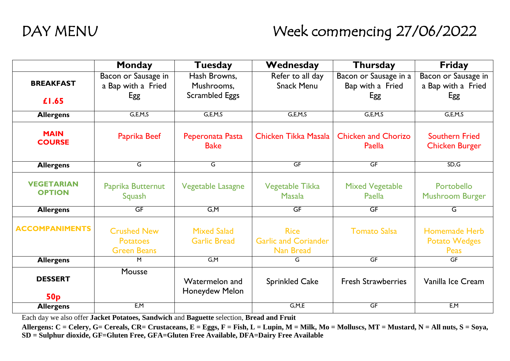# DAY MENU Week commencing 27/06/2022

|                                    | <b>Monday</b>                                               | <b>Tuesday</b>                            | Wednesday                                               | Thursday                             | <b>Friday</b>                                        |
|------------------------------------|-------------------------------------------------------------|-------------------------------------------|---------------------------------------------------------|--------------------------------------|------------------------------------------------------|
|                                    | Bacon or Sausage in                                         | Hash Browns,                              | Refer to all day                                        | Bacon or Sausage in a                | Bacon or Sausage in                                  |
| <b>BREAKFAST</b>                   | a Bap with a Fried                                          | Mushrooms.                                | <b>Snack Menu</b>                                       | Bap with a Fried                     | a Bap with a Fried                                   |
| £1.65                              | Egg                                                         | <b>Scrambled Eggs</b>                     |                                                         | Egg                                  | Egg                                                  |
| <b>Allergens</b>                   | G, E, M, S                                                  | G, E, M, S                                | G, E, M, S                                              | G, E, M, S                           | G, E, M, S                                           |
| <b>MAIN</b><br><b>COURSE</b>       | Paprika Beef                                                | Peperonata Pasta<br><b>Bake</b>           | Chicken Tikka Masala                                    | <b>Chicken and Chorizo</b><br>Paella | <b>Southern Fried</b><br><b>Chicken Burger</b>       |
| <b>Allergens</b>                   | G                                                           | G                                         | GF                                                      | GF                                   | SD, G                                                |
| <b>VEGETARIAN</b><br><b>OPTION</b> | Paprika Butternut<br>Squash                                 | <b>Vegetable Lasagne</b>                  | Vegetable Tikka<br><b>Masala</b>                        | <b>Mixed Vegetable</b><br>Paella     | Portobello<br><b>Mushroom Burger</b>                 |
| <b>Allergens</b>                   | GF                                                          | G,M                                       | GF                                                      | GF                                   | G                                                    |
| <b>ACCOMPANIMENTS</b>              | <b>Crushed New</b><br><b>Potatoes</b><br><b>Green Beans</b> | <b>Mixed Salad</b><br><b>Garlic Bread</b> | <b>Rice</b><br><b>Garlic and Coriander</b><br>Nan Bread | <b>Tomato Salsa</b>                  | <b>Homemade Herb</b><br><b>Potato Wedges</b><br>Peas |
| <b>Allergens</b>                   | M                                                           | G, M                                      | G                                                       | GF                                   | GF                                                   |
| <b>DESSERT</b><br>50 <sub>p</sub>  | Mousse                                                      | Watermelon and<br><b>Honeydew Melon</b>   | <b>Sprinkled Cake</b>                                   | <b>Fresh Strawberries</b>            | Vanilla Ice Cream                                    |
| <b>Allergens</b>                   | E, M                                                        |                                           | G, M, E                                                 | GF                                   | E, M                                                 |

Each day we also offer **Jacket Potatoes, Sandwich** and **Baguette** selection, **Bread and Fruit**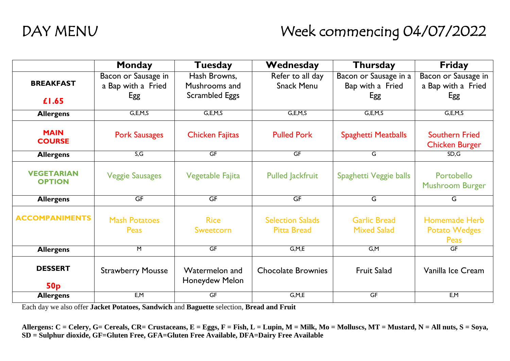# DAY MENU Week commencing 04/07/2022

|                                    | Monday                       | Tuesday                          | Wednesday                                     | Thursday                                  | <b>Friday</b>                                        |
|------------------------------------|------------------------------|----------------------------------|-----------------------------------------------|-------------------------------------------|------------------------------------------------------|
|                                    | Bacon or Sausage in          | Hash Browns,                     | Refer to all day                              | Bacon or Sausage in a                     | Bacon or Sausage in                                  |
| <b>BREAKFAST</b>                   | a Bap with a Fried           | Mushrooms and                    | <b>Snack Menu</b>                             | Bap with a Fried                          | a Bap with a Fried                                   |
| £1.65                              | Egg                          | <b>Scrambled Eggs</b>            |                                               | Egg                                       | Egg                                                  |
| <b>Allergens</b>                   | G, E, M, S                   | G, E, M, S                       | G, E, M, S                                    | G, E, M, S                                | G, E, M, S                                           |
| <b>MAIN</b><br><b>COURSE</b>       | <b>Pork Sausages</b>         | <b>Chicken Fajitas</b>           | <b>Pulled Pork</b>                            | <b>Spaghetti Meatballs</b>                | <b>Southern Fried</b><br><b>Chicken Burger</b>       |
| <b>Allergens</b>                   | S, G                         | <b>GF</b>                        | GF                                            | G                                         | SD, G                                                |
| <b>VEGETARIAN</b><br><b>OPTION</b> | <b>Veggie Sausages</b>       | Vegetable Fajita                 | <b>Pulled Jackfruit</b>                       | Spaghetti Veggie balls                    | Portobello<br><b>Mushroom Burger</b>                 |
| <b>Allergens</b>                   | GF                           | GF                               | GF                                            | G                                         | G                                                    |
| <b>ACCOMPANIMENTS</b>              | <b>Mash Potatoes</b><br>Peas | <b>Rice</b><br>Sweetcorn         | <b>Selection Salads</b><br><b>Pitta Bread</b> | <b>Garlic Bread</b><br><b>Mixed Salad</b> | <b>Homemade Herb</b><br><b>Potato Wedges</b><br>Peas |
| <b>Allergens</b>                   | M                            | $\overline{\mathsf{GF}}$         | G, M, E                                       | G, M                                      | <b>GF</b>                                            |
| <b>DESSERT</b><br>50 <sub>p</sub>  | <b>Strawberry Mousse</b>     | Watermelon and<br>Honeydew Melon | <b>Chocolate Brownies</b>                     | <b>Fruit Salad</b>                        | Vanilla Ice Cream                                    |
| <b>Allergens</b>                   | E, M                         | GF                               | G, M, E                                       | GF                                        | E, M                                                 |

Each day we also offer **Jacket Potatoes, Sandwich** and **Baguette** selection, **Bread and Fruit**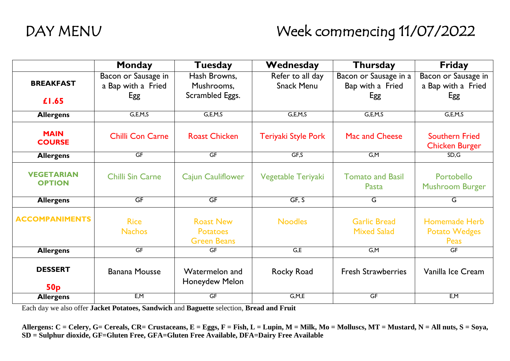# DAY MENU Week commencing 11/07/2022

|                                    | Monday                       | Tuesday                                                   | Wednesday           | <b>Thursday</b>                           | <b>Friday</b>                                        |
|------------------------------------|------------------------------|-----------------------------------------------------------|---------------------|-------------------------------------------|------------------------------------------------------|
|                                    | Bacon or Sausage in          | Hash Browns,                                              | Refer to all day    | Bacon or Sausage in a                     | Bacon or Sausage in                                  |
| <b>BREAKFAST</b>                   | a Bap with a Fried           | Mushrooms,                                                | <b>Snack Menu</b>   | Bap with a Fried                          | a Bap with a Fried                                   |
| £1.65                              | Egg                          | Scrambled Eggs.                                           |                     | Egg                                       | Egg                                                  |
| <b>Allergens</b>                   | G, E, M, S                   | G, E, M, S                                                | G, E, M, S          | G, E, M, S                                | G, E, M, S                                           |
| <b>MAIN</b><br><b>COURSE</b>       | <b>Chilli Con Carne</b>      | <b>Roast Chicken</b>                                      | Teriyaki Style Pork | Mac and Cheese                            | <b>Southern Fried</b><br><b>Chicken Burger</b>       |
| <b>Allergens</b>                   | GF                           | <b>GF</b>                                                 | GF,S                | G.M                                       | SD, G                                                |
| <b>VEGETARIAN</b><br><b>OPTION</b> | <b>Chilli Sin Carne</b>      | <b>Cajun Cauliflower</b>                                  | Vegetable Teriyaki  | <b>Tomato and Basil</b><br>Pasta          | Portobello<br><b>Mushroom Burger</b>                 |
| <b>Allergens</b>                   | GF                           | GF                                                        | GF, S               | G                                         | G                                                    |
| <b>ACCOMPANIMENTS</b>              | <b>Rice</b><br><b>Nachos</b> | <b>Roast New</b><br><b>Potatoes</b><br><b>Green Beans</b> | <b>Noodles</b>      | <b>Garlic Bread</b><br><b>Mixed Salad</b> | <b>Homemade Herb</b><br><b>Potato Wedges</b><br>Peas |
| <b>Allergens</b>                   | GF                           | <b>GF</b>                                                 | G,E                 | G.M                                       | <b>GF</b>                                            |
| <b>DESSERT</b><br>50p              | <b>Banana Mousse</b>         | Watermelon and<br>Honeydew Melon                          | Rocky Road          | <b>Fresh Strawberries</b>                 | Vanilla Ice Cream                                    |
| <b>Allergens</b>                   | E, M                         | GF                                                        | G, M, E             | GF                                        | E, M                                                 |

Each day we also offer **Jacket Potatoes, Sandwich** and **Baguette** selection, **Bread and Fruit**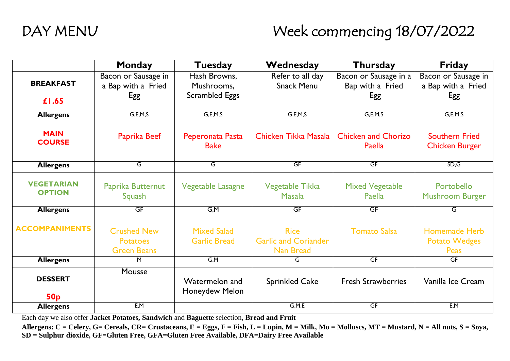# DAY MENU Week commencing 18/07/2022

|                                    | Monday                                                      | <b>Tuesday</b>                            | Wednesday                                               | <b>Thursday</b>                      | <b>Friday</b>                                        |
|------------------------------------|-------------------------------------------------------------|-------------------------------------------|---------------------------------------------------------|--------------------------------------|------------------------------------------------------|
|                                    | Bacon or Sausage in                                         | Hash Browns,                              | Refer to all day                                        | Bacon or Sausage in a                | Bacon or Sausage in                                  |
| <b>BREAKFAST</b>                   | a Bap with a Fried                                          | Mushrooms,                                | <b>Snack Menu</b>                                       | Bap with a Fried                     | a Bap with a Fried                                   |
| £1.65                              | Egg                                                         | <b>Scrambled Eggs</b>                     |                                                         | Egg                                  | Egg                                                  |
| <b>Allergens</b>                   | G, E, M, S                                                  | G, E, M, S                                | G, E, M, S                                              | G, E, M, S                           | G, E, M, S                                           |
| <b>MAIN</b><br><b>COURSE</b>       | Paprika Beef                                                | Peperonata Pasta<br><b>Bake</b>           | Chicken Tikka Masala                                    | <b>Chicken and Chorizo</b><br>Paella | <b>Southern Fried</b><br><b>Chicken Burger</b>       |
| <b>Allergens</b>                   | G                                                           | G                                         | GF                                                      | GF                                   | SD, G                                                |
| <b>VEGETARIAN</b><br><b>OPTION</b> | Paprika Butternut<br>Squash                                 | Vegetable Lasagne                         | Vegetable Tikka<br>Masala                               | <b>Mixed Vegetable</b><br>Paella     | Portobello<br><b>Mushroom Burger</b>                 |
| <b>Allergens</b>                   | GF                                                          | G, M                                      | GF                                                      | GF                                   | G                                                    |
| <b>ACCOMPANIMENTS</b>              | <b>Crushed New</b><br><b>Potatoes</b><br><b>Green Beans</b> | <b>Mixed Salad</b><br><b>Garlic Bread</b> | <b>Rice</b><br><b>Garlic and Coriander</b><br>Nan Bread | <b>Tomato Salsa</b>                  | <b>Homemade Herb</b><br><b>Potato Wedges</b><br>Peas |
| <b>Allergens</b>                   | M                                                           | G, M                                      | G                                                       | GF                                   | <b>GF</b>                                            |
| <b>DESSERT</b><br>50 <sub>p</sub>  | Mousse                                                      | Watermelon and<br>Honeydew Melon          | <b>Sprinkled Cake</b>                                   | <b>Fresh Strawberries</b>            | Vanilla Ice Cream                                    |
| <b>Allergens</b>                   | E, M                                                        |                                           | G, M, E                                                 | GF                                   | E, M                                                 |

Each day we also offer **Jacket Potatoes, Sandwich** and **Baguette** selection, **Bread and Fruit**